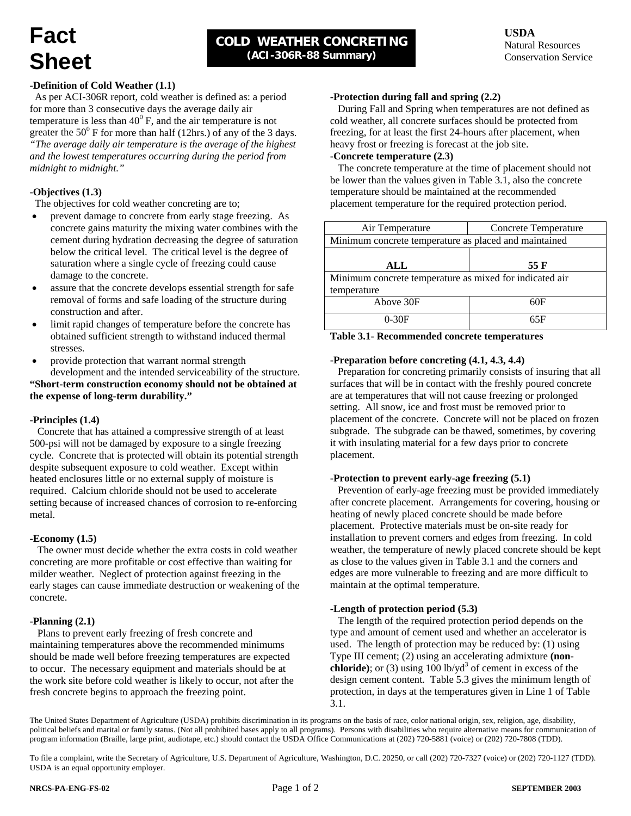# **Fact Sheet**

# **USDA**  Natural Resources Conservation Service

# **-Definition of Cold Weather (1.1)**

 As per ACI-306R report, cold weather is defined as: a period for more than 3 consecutive days the average daily air temperature is less than  $40^{\circ}$  F, and the air temperature is not greater the  $50^{\circ}$  F for more than half (12hrs.) of any of the 3 days. *"The average daily air temperature is the average of the highest and the lowest temperatures occurring during the period from midnight to midnight."* 

# **-Objectives (1.3)**

The objectives for cold weather concreting are to;

- prevent damage to concrete from early stage freezing. As concrete gains maturity the mixing water combines with the cement during hydration decreasing the degree of saturation below the critical level. The critical level is the degree of saturation where a single cycle of freezing could cause damage to the concrete.
- assure that the concrete develops essential strength for safe removal of forms and safe loading of the structure during construction and after.
- limit rapid changes of temperature before the concrete has obtained sufficient strength to withstand induced thermal stresses.
- provide protection that warrant normal strength development and the intended serviceability of the structure.

**"Short-term construction economy should not be obtained at the expense of long-term durability."** 

# **-Principles (1.4)**

 Concrete that has attained a compressive strength of at least 500-psi will not be damaged by exposure to a single freezing cycle. Concrete that is protected will obtain its potential strength despite subsequent exposure to cold weather. Except within heated enclosures little or no external supply of moisture is required. Calcium chloride should not be used to accelerate setting because of increased chances of corrosion to re-enforcing metal.

# **-Economy (1.5)**

 The owner must decide whether the extra costs in cold weather concreting are more profitable or cost effective than waiting for milder weather. Neglect of protection against freezing in the early stages can cause immediate destruction or weakening of the concrete.

#### **-Planning (2.1)**

 Plans to prevent early freezing of fresh concrete and maintaining temperatures above the recommended minimums should be made well before freezing temperatures are expected to occur. The necessary equipment and materials should be at the work site before cold weather is likely to occur, not after the fresh concrete begins to approach the freezing point.

#### **-Protection during fall and spring (2.2)**

 During Fall and Spring when temperatures are not defined as cold weather, all concrete surfaces should be protected from freezing, for at least the first 24-hours after placement, when heavy frost or freezing is forecast at the job site.

#### **-Concrete temperature (2.3)**

 The concrete temperature at the time of placement should not be lower than the values given in Table 3.1, also the concrete temperature should be maintained at the recommended placement temperature for the required protection period.

| Air Temperature                                         | <b>Concrete Temperature</b> |  |  |  |
|---------------------------------------------------------|-----------------------------|--|--|--|
| Minimum concrete temperature as placed and maintained   |                             |  |  |  |
|                                                         |                             |  |  |  |
| ALL                                                     | 55 F                        |  |  |  |
| Minimum concrete temperature as mixed for indicated air |                             |  |  |  |
| temperature                                             |                             |  |  |  |
| Above 30F                                               | 60F                         |  |  |  |
| $0-30F$                                                 | 65F                         |  |  |  |

#### **Table 3.1- Recommended concrete temperatures**

### **-Preparation before concreting (4.1, 4.3, 4.4)**

 Preparation for concreting primarily consists of insuring that all surfaces that will be in contact with the freshly poured concrete are at temperatures that will not cause freezing or prolonged setting. All snow, ice and frost must be removed prior to placement of the concrete. Concrete will not be placed on frozen subgrade. The subgrade can be thawed, sometimes, by covering it with insulating material for a few days prior to concrete placement.

#### **-Protection to prevent early-age freezing (5.1)**

 Prevention of early-age freezing must be provided immediately after concrete placement. Arrangements for covering, housing or heating of newly placed concrete should be made before placement. Protective materials must be on-site ready for installation to prevent corners and edges from freezing. In cold weather, the temperature of newly placed concrete should be kept as close to the values given in Table 3.1 and the corners and edges are more vulnerable to freezing and are more difficult to maintain at the optimal temperature.

# **-Length of protection period (5.3)**

 The length of the required protection period depends on the type and amount of cement used and whether an accelerator is used. The length of protection may be reduced by: (1) using Type III cement; (2) using an accelerating admixture **(nonchloride**); or (3) using  $100$  lb/yd<sup>3</sup> of cement in excess of the design cement content. Table 5.3 gives the minimum length of protection, in days at the temperatures given in Line 1 of Table 3.1.

The United States Department of Agriculture (USDA) prohibits discrimination in its programs on the basis of race, color national origin, sex, religion, age, disability, political beliefs and marital or family status. (Not all prohibited bases apply to all programs). Persons with disabilities who require alternative means for communication of program information (Braille, large print, audiotape, etc.) should contact the USDA Office Communications at (202) 720-5881 (voice) or (202) 720-7808 (TDD).

To file a complaint, write the Secretary of Agriculture, U.S. Department of Agriculture, Washington, D.C. 20250, or call (202) 720-7327 (voice) or (202) 720-1127 (TDD). USDA is an equal opportunity employer.